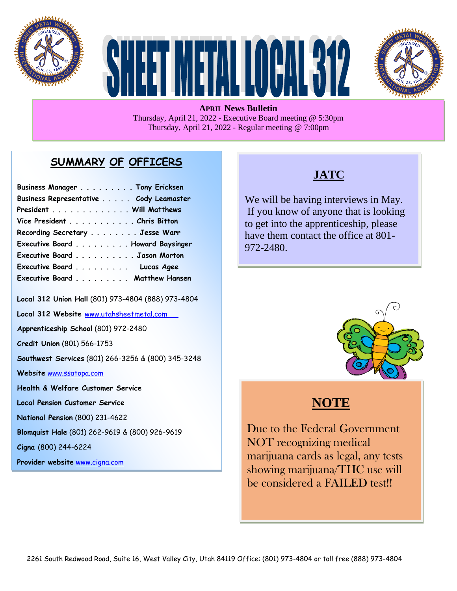





**APRIL News Bulletin** Thursday, April 21, 2022 - Executive Board meeting @ 5:30pm Thursday, April 21, 2022 - Regular meeting @ 7:00pm

#### **SUMMARY OF OFFICERS**

| Business Manager Tony Ericksen         |  |
|----------------------------------------|--|
| Business Representative Cody Leamaster |  |
| President Will Matthews                |  |
| Vice President Chris Bitton            |  |
| Recording Secretary Jesse Warr         |  |
| Executive Board Howard Baysinger       |  |
| Executive Board Jason Morton           |  |
| Executive Board Lucas Agee             |  |
| Executive Board Matthew Hansen         |  |

**Local 312 Union Hall** (801) 973-4804 (888) 973-4804

**Local 312 Website** [www.utahsheetmetal.com](http://www.utahsheetmetal.com/)

**Apprenticeship School** (801) 972-2480

**Credit Union** (801) 566-1753

**Southwest Services** (801) 266-3256 & (800) 345-3248

**Website** [www.ssatopa.com](http://www.ssatopa.com/)

**Health & Welfare Customer Service**

**Local Pension Customer Service**

**National Pension** (800) 231-4622

**Blomquist Hale** (801) 262-9619 & (800) 926-9619

**Cigna** (800) 244-6224

**Provider website** [www.cigna.com](http://www.cigna.com/)

## **JATC**

We will be having interviews in May. If you know of anyone that is looking to get into the apprenticeship, please have them contact the office at 801- 972-2480.



# **NOTE**

i

 Due to the Federal Government NOT recognizing medical marijuana cards as legal, any tests showing marijuana/THC use will be considered a FAILED test!!